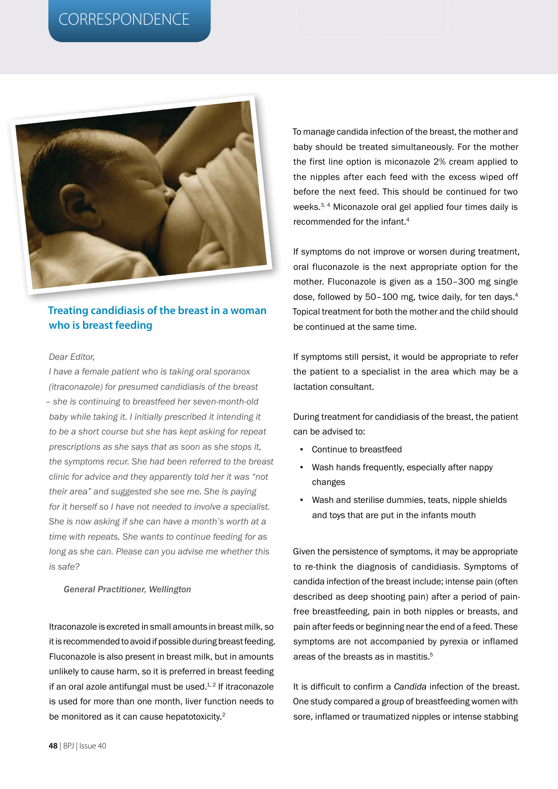# CORRESPONDENCE



## **Treating candidiasis of the breast in a woman who is breast feeding**

#### *Dear Editor,*

*I have a female patient who is taking oral sporanox (itraconazole) for presumed candidiasis of the breast – she is continuing to breastfeed her seven-month-old baby while taking it. I initially prescribed it intending it to be a short course but she has kept asking for repeat prescriptions as she says that as soon as she stops it, the symptoms recur. She had been referred to the breast clinic for advice and they apparently told her it was "not their area" and suggested she see me. She is paying for it herself so I have not needed to involve a specialist. She is now asking if she can have a month's worth at a time with repeats. She wants to continue feeding for as long as she can. Please can you advise me whether this is safe?*

### *General Practitioner, Wellington*

Itraconazole is excreted in small amounts in breast milk, so it is recommended to avoid if possible during breast feeding. Fluconazole is also present in breast milk, but in amounts unlikely to cause harm, so it is preferred in breast feeding if an oral azole antifungal must be used. $4.2$  If itraconazole is used for more than one month, liver function needs to be monitored as it can cause hepatotoxicity.<sup>2</sup>

To manage candida infection of the breast, the mother and baby should be treated simultaneously. For the mother the first line option is miconazole 2% cream applied to the nipples after each feed with the excess wiped off before the next feed. This should be continued for two weeks.<sup>3, 4</sup> Miconazole oral gel applied four times daily is recommended for the infant.4

If symptoms do not improve or worsen during treatment, oral fluconazole is the next appropriate option for the mother. Fluconazole is given as a 150–300 mg single dose, followed by 50-100 mg, twice daily, for ten days.<sup>4</sup> Topical treatment for both the mother and the child should be continued at the same time.

If symptoms still persist, it would be appropriate to refer the patient to a specialist in the area which may be a lactation consultant.

During treatment for candidiasis of the breast, the patient can be advised to:

- Continue to breastfeed
- Wash hands frequently, especially after nappy changes
- Wash and sterilise dummies, teats, nipple shields and toys that are put in the infants mouth

Given the persistence of symptoms, it may be appropriate to re-think the diagnosis of candidiasis. Symptoms of candida infection of the breast include; intense pain (often described as deep shooting pain) after a period of painfree breastfeeding, pain in both nipples or breasts, and pain after feeds or beginning near the end of a feed. These symptoms are not accompanied by pyrexia or inflamed areas of the breasts as in mastitis.<sup>5</sup>

It is difficult to confirm a *Candida* infection of the breast. One study compared a group of breastfeeding women with sore, inflamed or traumatized nipples or intense stabbing